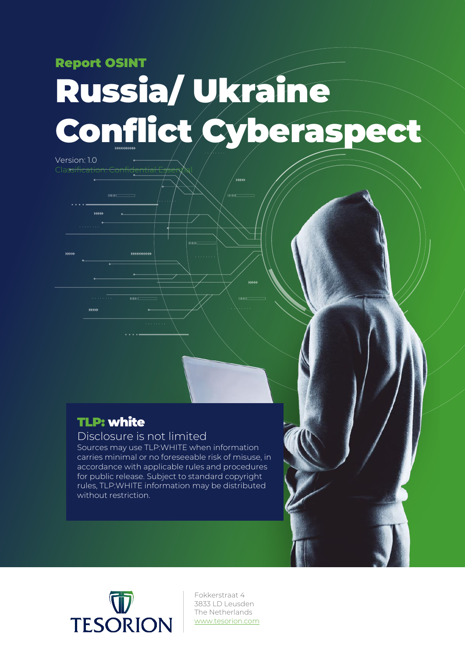### Report OSINT

 $\bar{\rm mm}$  =

Version: 1.0

**SEEL** 

 $\overline{\phantom{a}}$ 

# Russia/ Ukraine Conflict Cyberaspect

.<br>IIIII

m

## TLP: white

#### Disclosure is not limited

,,,,,,,,,,,,

 $\overline{1111}$ 

Sources may use TLP:WHITE when information carries minimal or no foreseeable risk of misuse, in accordance with applicable rules and procedures for public release. Subject to standard copyright rules, TLP:WHITE information may be distributed without restriction.



Fokkerstraat 4 3833 LD Leusden The Netherlands [www.tesorion.com](http://www.tesorion.com/)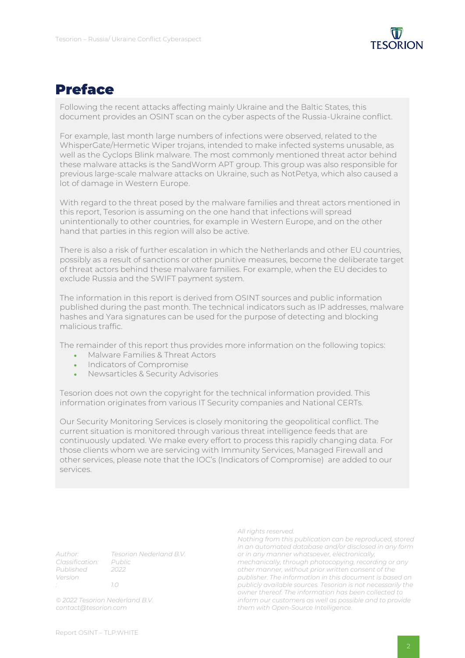

### Preface

Following the recent attacks affecting mainly Ukraine and the Baltic States, this document provides an OSINT scan on the cyber aspects of the Russia-Ukraine conflict.

For example, last month large numbers of infections were observed, related to the WhisperGate/Hermetic Wiper trojans, intended to make infected systems unusable, as well as the Cyclops Blink malware. The most commonly mentioned threat actor behind these malware attacks is the SandWorm APT group. This group was also responsible for previous large-scale malware attacks on Ukraine, such as NotPetya, which also caused a lot of damage in Western Europe.

With regard to the threat posed by the malware families and threat actors mentioned in this report, Tesorion is assuming on the one hand that infections will spread unintentionally to other countries, for example in Western Europe, and on the other hand that parties in this region will also be active.

There is also a risk of further escalation in which the Netherlands and other EU countries, possibly as a result of sanctions or other punitive measures, become the deliberate target of threat actors behind these malware families. For example, when the EU decides to exclude Russia and the SWIFT payment system.

The information in this report is derived from OSINT sources and public information published during the past month. The technical indicators such as IP addresses, malware hashes and Yara signatures can be used for the purpose of detecting and blocking malicious traffic.

The remainder of this report thus provides more information on the following topics:

- Malware Families & Threat Actors
- Indicators of Compromise
- Newsarticles & Security Advisories

Tesorion does not own the copyright for the technical information provided. This information originates from various IT Security companies and National CERTs.

Our Security Monitoring Services is closely monitoring the geopolitical conflict. The current situation is monitored through various threat intelligence feeds that are continuously updated. We make every effort to process this rapidly changing data. For those clients whom we are servicing with Immunity Services, Managed Firewall and other services, please note that the IOC's (Indicators of Compromise) are added to our services.

*Author: Tesorion Nederland B.V. Classification: Published 2022 Version : 1.0*

*© 2022 Tesorion Nederland B.V. contact@tesorion.com*

*All rights reserved.*

*Nothing from this publication can be reproduced, stored in an automated database and/or disclosed in any form or in any manner whatsoever, electronically, mechanically, through photocopying, recording or any other manner, without prior written consent of the publisher. The information in this document is based on publicly available sources. Tesorion is not necessarily the owner thereof. The information has been collected to inform our customers as well as possible and to provide them with Open-Source Intelligence.*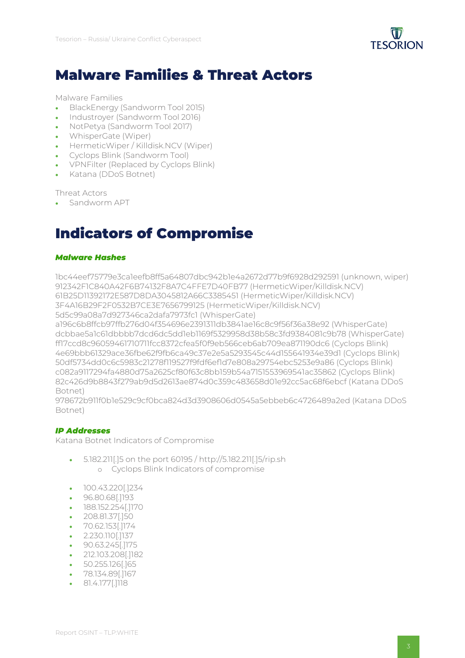

## Malware Families & Threat Actors

Malware Families

- BlackEnergy (Sandworm Tool 2015)
- Industroyer (Sandworm Tool 2016)
- NotPetya (Sandworm Tool 2017)
- WhisperGate (Wiper)
- HermeticWiper / Killdisk.NCV (Wiper)
- Cyclops Blink (Sandworm Tool)
- VPNFilter (Replaced by Cyclops Blink)
- Katana (DDoS Botnet)

Threat Actors

• Sandworm APT

## Indicators of Compromise

#### *Malware Hashes*

1bc44eef75779e3ca1eefb8ff5a64807dbc942b1e4a2672d77b9f6928d292591 (unknown, wiper) 912342F1C840A42F6B74132F8A7C4FFE7D40FB77 (HermeticWiper/Killdisk.NCV) 61B25D11392172E587D8DA3045812A66C3385451 (HermeticWiper/Killdisk.NCV) 3F4A16B29F2F0532B7CE3E7656799125 (HermeticWiper/Killdisk.NCV) 5d5c99a08a7d927346ca2dafa7973fc1 (WhisperGate)

a196c6b8ffcb97ffb276d04f354696e2391311db3841ae16c8c9f56f36a38e92 (WhisperGate) dcbbae5a1c61dbbbb7dcd6dc5dd1eb1169f5329958d38b58c3fd9384081c9b78 (WhisperGate) ff17ccd8c96059461710711fcc8372cfea5f0f9eb566ceb6ab709ea871190dc6 (Cyclops Blink) 4e69bbb61329ace36fbe62f9fb6ca49c37e2e5a5293545c44d155641934e39d1 (Cyclops Blink) 50df5734dd0c6c5983c21278f119527f9fdf6ef1d7e808a29754ebc5253e9a86 (Cyclops Blink) c082a9117294fa4880d75a2625cf80f63c8bb159b54a7151553969541ac35862 (Cyclops Blink) 82c426d9b8843f279ab9d5d2613ae874d0c359c483658d01e92cc5ac68f6ebcf (Katana DDoS Botnet)

978672b911f0b1e529c9cf0bca824d3d3908606d0545a5ebbeb6c4726489a2ed (Katana DDoS Botnet)

#### *IP Addresses*

Katana Botnet Indicators of Compromise

- 5.182.211[.]5 on the port 60195 / http://5.182.211[.]5/rip.sh o Cyclops Blink Indicators of compromise
- 100.43.220[.]234
- 96.80.68[.]193
- 188.152.254[.]170
- 208.81.37[.]50
- 70.62.153[.]174
- 2.230.110[.]137
- 90.63.245[.]175
- 212.103.208[.]182
- 50.255.126[.]65
- 78.134.89[.]167
- 81.4.177[.]118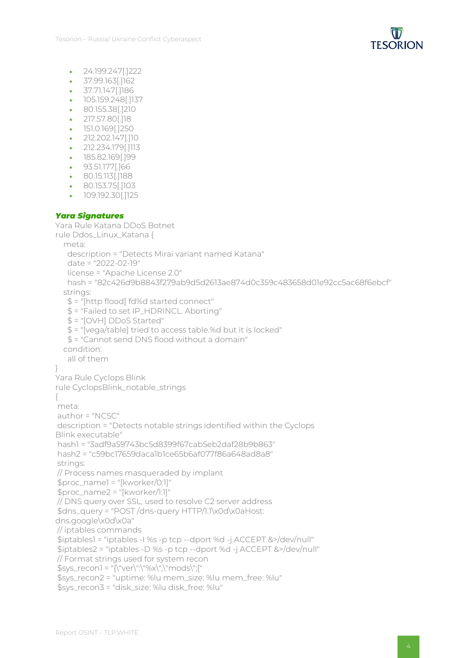

- 24.199.247[.]222
- 37.99.163[.]162
- 37.71.147[.]186
- 105.159.248[.]137
- 80.155.38[.]210
- 217.57.80[.]18
- 151.0.169[.]250
- 212.202.147[.]10
- 212.234.179[.]113
- 185.82.169[.]99
- 93.51.177[.]66
- 80.15.113[.]188
- 80.153.75[.]103
- 109.192.30[.]125

#### *Yara Signatures*

```
Yara Rule Katana DDoS Botnet
rule Ddos_Linux_Katana {
  meta:
    description = "Detects Mirai variant named Katana"
    date = "2022-02-19"
    license = "Apache License 2.0"
    hash = "82c426d9b8843f279ab9d5d2613ae874d0c359c483658d01e92cc5ac68f6ebcf"
   strings:
    $ = "[http flood] fd%d started connect"
    $ = "Failed to set IP_HDRINCL. Aborting"
    $ = "[OVH] DDoS Started"
    $ = "[vega/table] tried to access table.%d but it is locked"
    $ = "Cannot send DNS flood without a domain"
  condition:
    all of them
}
Yara Rule Cyclops Blink
rule CyclopsBlink_notable_strings
{
meta:
author = "NCSC"
description = "Detects notable strings identified within the Cyclops
Blink executable"
hash1 = "3adf9a59743bc5d8399f67cab5eb2daf28b9b863"
hash2 = "c59bc17659daca1b1ce65b6af077f86a648ad8a8"
strings:
// Process names masqueraded by implant
$proc_name1 = "[kworker/0:1]"
$proc_name2 = "[kworker/1:1]"
// DNS query over SSL, used to resolve C2 server address
$dns_query = "POST /dns-query HTTP/1.1\x0d\x0aHost:
dns.google\x0d\x0a"
// iptables commands
$iptables1 = "iptables -I %s -p tcp --dport %d -j ACCEPT &>/dev/null"
$iptables2 = "iptables -D %s -p tcp --dport %d -j ACCEPT &>/dev/null"
// Format strings used for system recon
$sys_recon1 = "{\"ver\":\"%x\",\"mods\";["
$sys_recon2 = "uptime: %lu mem_size: %lu mem_free: %lu"
$sys_recon3 = "disk_size: %lu disk_free: %lu"
```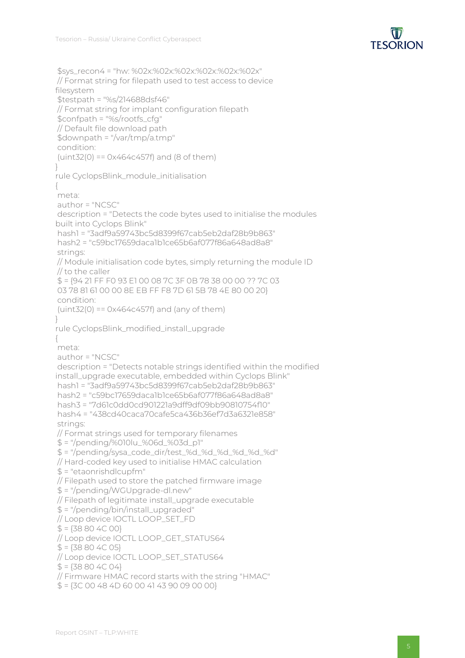

```
$sys_recon4 = "hw: %02x:%02x:%02x:%02x:%02x:%02x"
// Format string for filepath used to test access to device
filesystem
$testpath = "%s/214688dsf46"
// Format string for implant configuration filepath
$confpath = "%s/rootfs_cfg"
// Default file download path
$downpath = "/var/tmp/a.tmp"
condition:
 (iint32(0) == 0x464c457f) and (8 of them)}
rule CyclopsBlink_module_initialisation
{
meta:
author = "NCSC"
description = "Detects the code bytes used to initialise the modules
built into Cyclops Blink"
hash1 = "3adf9a59743bc5d8399f67cab5eb2daf28b9b863"
hash2 = "c59bc17659daca1b1ce65b6af077f86a648ad8a8"
strings:
// Module initialisation code bytes, simply returning the module ID
// to the caller
$ = {94 21 FF F0 93 E1 00 08 7C 3F 0B 78 38 00 00 ?? 7C 03
03 78 81 61 00 00 8E EB FF F8 7D 61 5B 78 4E 80 00 20}
condition:
(iint32(0) == 0x464c457f) and (any of them)}
rule CyclopsBlink_modified_install_upgrade
{
meta:
author = "NCSC"
description = "Detects notable strings identified within the modified
install_upgrade executable, embedded within Cyclops Blink"
hash1 = "3adf9a59743bc5d8399f67cab5eb2daf28b9b863"
hash2 = "c59bc17659daca1b1ce65b6af077f86a648ad8a8"
hash3 = "7d61c0dd0cd901221a9dff9df09bb90810754f10"
hash4 = "438cd40caca70cafe5ca436b36ef7d3a6321e858"
strings:
// Format strings used for temporary filenames
$ = "/pending/%010lu_%06d_%03d_p1"
$ = "/pending/sysa_code_dir/test_%d_%d_%d_%d_%d_%d"
// Hard-coded key used to initialise HMAC calculation
$ = "etaonrishdlcupfm"
// Filepath used to store the patched firmware image
$ = "/pending/WGUpgrade-dl.new"
// Filepath of legitimate install_upgrade executable
$ = "/pending/bin/install_upgraded"
// Loop device IOCTL LOOP_SET_FD
$ = {38804C00}// Loop device IOCTL LOOP_GET_STATUS64
$ = {38804C05}// Loop device IOCTL LOOP_SET_STATUS64
$ = {38804C04}// Firmware HMAC record starts with the string "HMAC"
 $ = {3C 00 48 4D 60 00 41 43 90 09 00 00}
```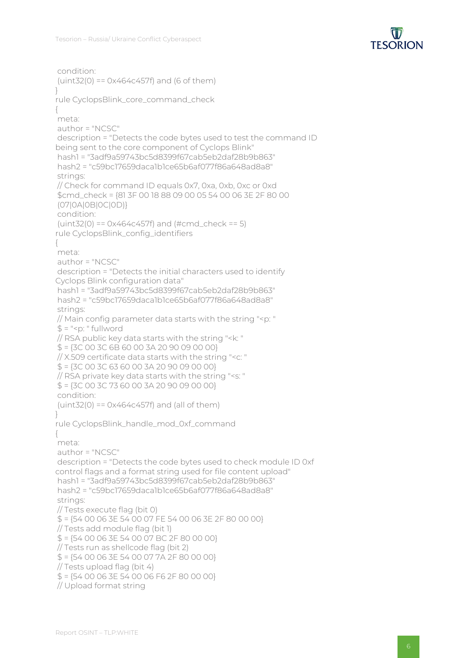

```
condition:
(iint32(0) == 0x464c457f) and (6 of them)}
rule CyclopsBlink_core_command_check
{
meta:
author = "NCSC"
description = "Detects the code bytes used to test the command ID
being sent to the core component of Cyclops Blink"
hash1 = "3adf9a59743bc5d8399f67cab5eb2daf28b9b863"
hash2 = "c59bc17659daca1b1ce65b6af077f86a648ad8a8"
strings:
// Check for command ID equals 0x7, 0xa, 0xb, 0xc or 0xd
$cmd_check = {81 3F 00 18 88 09 00 05 54 00 06 3E 2F 80 00
(07|0A|0B|0C|0D)}
condition:
(uint32(0) == 0x464c457f) and (#cmd_check == 5)
rule CyclopsBlink_config_identifiers
{
meta:
author = "NCSC"
description = "Detects the initial characters used to identify
Cyclops Blink configuration data"
hash1 = "3adf9a59743bc5d8399f67cab5eb2daf28b9b863"
hash2 = "c59bc17659daca1b1ce65b6af077f86a648ad8a8"
strings:
// Main config parameter data starts with the string "<p: "
$ = "<p: "fullword// RSA public key data starts with the string "<k: "
$ = {3C 00 3C 6B 60 00 3A 20 90 09 00 00}// X.509 certificate data starts with the string "<c: "
$ = {3C 00 3C 63 60 00 3A 20 90 09 00 00}// RSA private key data starts with the string "<s: "
$ = {3C 00 3C 73 60 00 3A 20 90 09 00 00}condition:
(iint32(0) == 0x464c457f) and (all of them)
}
rule CyclopsBlink_handle_mod_0xf_command
{
meta:
author = "NCSC"
description = "Detects the code bytes used to check module ID 0xf
control flags and a format string used for file content upload"
hash1 = "3adf9a59743bc5d8399f67cab5eb2daf28b9b863"
hash2 = "c59bc17659daca1b1ce65b6af077f86a648ad8a8"
strings:
// Tests execute flag (bit 0)
$ = {54 00 06 3E 54 00 07 FE 54 00 06 3E 2F 80 00 00}
// Tests add module flag (bit 1)
$ = {5400063E540007BC2F80000}// Tests run as shellcode flag (bit 2)
$ = {54} 00 06 3E 54 00 07 7A 2F 80 00 00}
// Tests upload flag (bit 4)
$ = {54 00 06 3E 54 00 06 F6 2F 80 00 00}
// Upload format string
```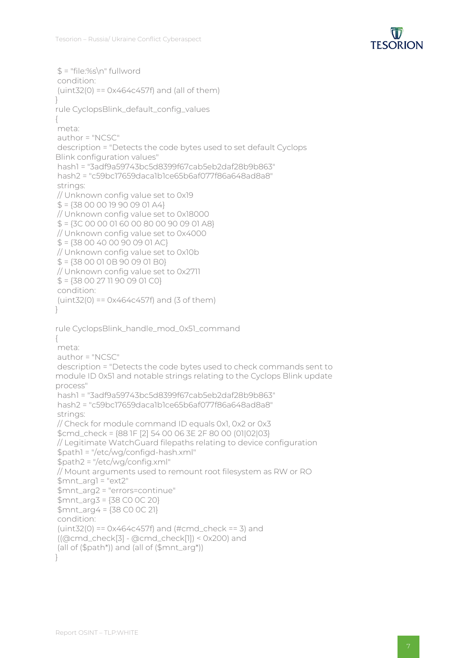

```
$ = "file:\%s\n'n" fullwordcondition:
(uint32(0) == 0x464c457f) and (all of them)
}
rule CyclopsBlink_default_config_values
{
meta:
author = "NCSC"
description = "Detects the code bytes used to set default Cyclops
Blink configuration values"
hash1 = "3adf9a59743bc5d8399f67cab5eb2daf28b9b863"
hash2 = "c59bc17659daca1b1ce65b6af077f86a648ad8a8"
strings:
// Unknown config value set to 0x19
$ = {38} 00 00 19 90 09 01 A4}
// Unknown config value set to 0x18000
$ = {3C 00 00 01 60 00 80 00 90 09 01 A8}// Unknown config value set to 0x4000
$ = {3800400900901AC}// Unknown config value set to 0x10b
$ = {38 00 01 0B 90 09 01 B0}
// Unknown config value set to 0x2711
$ = {3800271190090100}condition:
(iint32(0) == 0x464c457f) and (3 of them)}
rule CyclopsBlink_handle_mod_0x51_command
{
meta:
author = "NCSC"
description = "Detects the code bytes used to check commands sent to
module ID 0x51 and notable strings relating to the Cyclops Blink update
process"
hash1 = "3adf9a59743bc5d8399f67cab5eb2daf28b9b863"
hash2 = "c59bc17659daca1b1ce65b6af077f86a648ad8a8"
strings:
// Check for module command ID equals 0x1, 0x2 or 0x3
$cmd_check = {88 1F [2] 54 00 06 3E 2F 80 00 (01|02|03}
// Legitimate WatchGuard filepaths relating to device configuration
$path1 = "/etc/wg/configd-hash.xml"
$path2 = "/etc/wg/config.xml"
// Mount arguments used to remount root filesystem as RW or RO
$mnt_arg1 = "ext2"
$mnt_arg2 = "errors=continue"
$mnt_arg3 = {38 C0 0C 20}
$mnt_arg4 = {38 C0 0C 21}
condition:
(uint32(0) == 0x464c457f) and (#cmd_check == 3) and
((@cmd_check[3] - @cmd_check[1]) < 0x200) and
(all of ($path*)) and (all of ($mnt_arg*))
}
```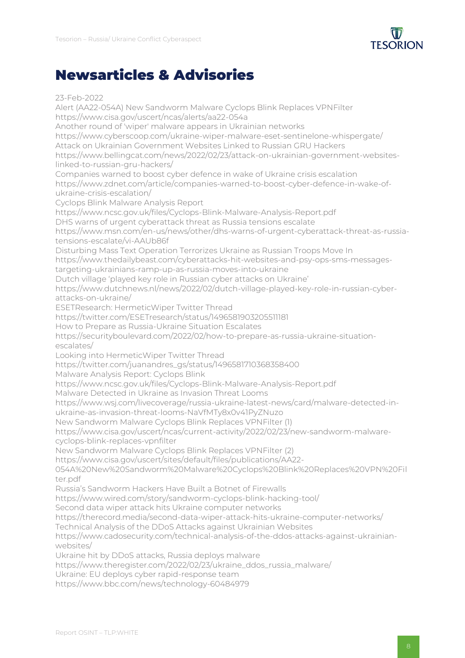

## Newsarticles & Advisories

23-Feb-2022 Alert (AA22-054A) New Sandworm Malware Cyclops Blink Replaces VPNFilter https://www.cisa.gov/uscert/ncas/alerts/aa22-054a Another round of 'wiper' malware appears in Ukrainian networks https://www.cyberscoop.com/ukraine-wiper-malware-eset-sentinelone-whispergate/ Attack on Ukrainian Government Websites Linked to Russian GRU Hackers https://www.bellingcat.com/news/2022/02/23/attack-on-ukrainian-government-websiteslinked-to-russian-gru-hackers/ Companies warned to boost cyber defence in wake of Ukraine crisis escalation https://www.zdnet.com/article/companies-warned-to-boost-cyber-defence-in-wake-ofukraine-crisis-escalation/ Cyclops Blink Malware Analysis Report https://www.ncsc.gov.uk/files/Cyclops-Blink-Malware-Analysis-Report.pdf DHS warns of urgent cyberattack threat as Russia tensions escalate https://www.msn.com/en-us/news/other/dhs-warns-of-urgent-cyberattack-threat-as-russiatensions-escalate/vi-AAUb86f Disturbing Mass Text Operation Terrorizes Ukraine as Russian Troops Move In https://www.thedailybeast.com/cyberattacks-hit-websites-and-psy-ops-sms-messagestargeting-ukrainians-ramp-up-as-russia-moves-into-ukraine Dutch village 'played key role in Russian cyber attacks on Ukraine' https://www.dutchnews.nl/news/2022/02/dutch-village-played-key-role-in-russian-cyberattacks-on-ukraine/ ESETResearch: HermeticWiper Twitter Thread https://twitter.com/ESETresearch/status/1496581903205511181 How to Prepare as Russia-Ukraine Situation Escalates https://securityboulevard.com/2022/02/how-to-prepare-as-russia-ukraine-situationescalates/ Looking into HermeticWiper Twitter Thread https://twitter.com/juanandres\_gs/status/1496581710368358400 Malware Analysis Report: Cyclops Blink https://www.ncsc.gov.uk/files/Cyclops-Blink-Malware-Analysis-Report.pdf Malware Detected in Ukraine as Invasion Threat Looms https://www.wsj.com/livecoverage/russia-ukraine-latest-news/card/malware-detected-inukraine-as-invasion-threat-looms-NaVfMTy8x0v41PyZNuzo New Sandworm Malware Cyclops Blink Replaces VPNFilter (1) https://www.cisa.gov/uscert/ncas/current-activity/2022/02/23/new-sandworm-malwarecyclops-blink-replaces-vpnfilter New Sandworm Malware Cyclops Blink Replaces VPNFilter (2) https://www.cisa.gov/uscert/sites/default/files/publications/AA22- 054A%20New%20Sandworm%20Malware%20Cyclops%20Blink%20Replaces%20VPN%20Fil ter.pdf Russia's Sandworm Hackers Have Built a Botnet of Firewalls https://www.wired.com/story/sandworm-cyclops-blink-hacking-tool/ Second data wiper attack hits Ukraine computer networks https://therecord.media/second-data-wiper-attack-hits-ukraine-computer-networks/ Technical Analysis of the DDoS Attacks against Ukrainian Websites https://www.cadosecurity.com/technical-analysis-of-the-ddos-attacks-against-ukrainianwebsites/ Ukraine hit by DDoS attacks, Russia deploys malware https://www.theregister.com/2022/02/23/ukraine\_ddos\_russia\_malware/ Ukraine: EU deploys cyber rapid-response team https://www.bbc.com/news/technology-60484979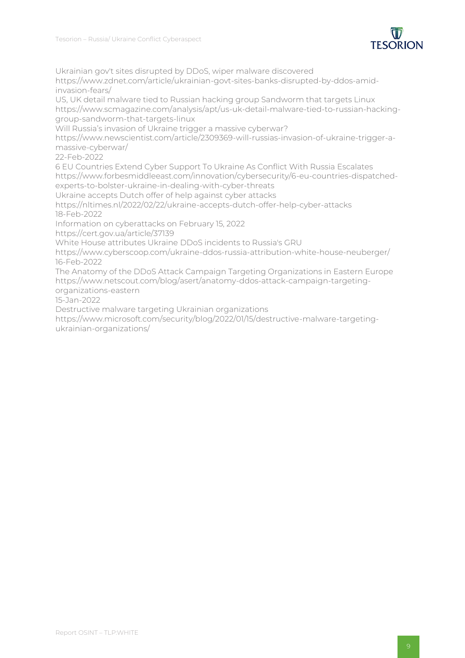

Ukrainian gov't sites disrupted by DDoS, wiper malware discovered

https://www.zdnet.com/article/ukrainian-govt-sites-banks-disrupted-by-ddos-amidinvasion-fears/

US, UK detail malware tied to Russian hacking group Sandworm that targets Linux https://www.scmagazine.com/analysis/apt/us-uk-detail-malware-tied-to-russian-hackinggroup-sandworm-that-targets-linux

Will Russia's invasion of Ukraine trigger a massive cyberwar?

https://www.newscientist.com/article/2309369-will-russias-invasion-of-ukraine-trigger-amassive-cyberwar/

22-Feb-2022

6 EU Countries Extend Cyber Support To Ukraine As Conflict With Russia Escalates https://www.forbesmiddleeast.com/innovation/cybersecurity/6-eu-countries-dispatchedexperts-to-bolster-ukraine-in-dealing-with-cyber-threats

Ukraine accepts Dutch offer of help against cyber attacks

https://nltimes.nl/2022/02/22/ukraine-accepts-dutch-offer-help-cyber-attacks 18-Feb-2022

Information on cyberattacks on February 15, 2022

https://cert.gov.ua/article/37139

White House attributes Ukraine DDoS incidents to Russia's GRU

https://www.cyberscoop.com/ukraine-ddos-russia-attribution-white-house-neuberger/ 16-Feb-2022

The Anatomy of the DDoS Attack Campaign Targeting Organizations in Eastern Europe https://www.netscout.com/blog/asert/anatomy-ddos-attack-campaign-targetingorganizations-eastern

15-Jan-2022

Destructive malware targeting Ukrainian organizations

https://www.microsoft.com/security/blog/2022/01/15/destructive-malware-targetingukrainian-organizations/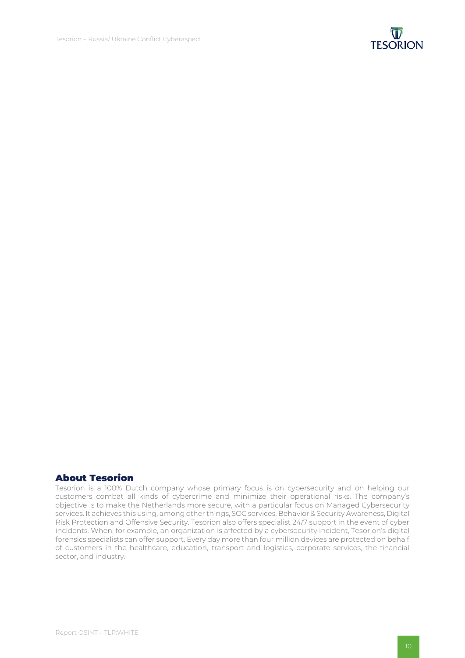

#### About Tesorion

Tesorion is a 100% Dutch company whose primary focus is on cybersecurity and on helping our customers combat all kinds of cybercrime and minimize their operational risks. The company's objective is to make the Netherlands more secure, with a particular focus on Managed Cybersecurity services. It achieves this using, among other things, SOC services, Behavior & Security Awareness, Digital Risk Protection and Offensive Security. Tesorion also offers specialist 24/7 support in the event of cyber incidents. When, for example, an organization is affected by a cybersecurity incident, Tesorion's digital forensics specialists can offer support. Every day more than four million devices are protected on behalf of customers in the healthcare, education, transport and logistics, corporate services, the financial sector, and industry.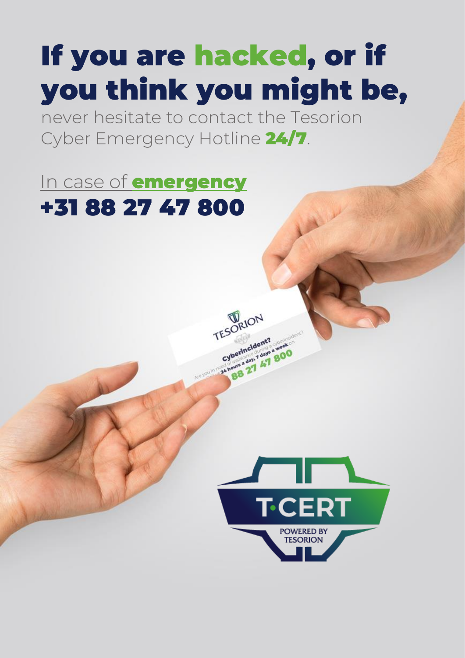## If you are hacked, or if you think you might be,

**TESORION** 

ESConneident? Cyberincident? a week BB 27 47 800

never hesitate to contact the Tesorion Cyber Emergency Hotline 24/7.

## In case of **emergency** +31 88 27 47 800